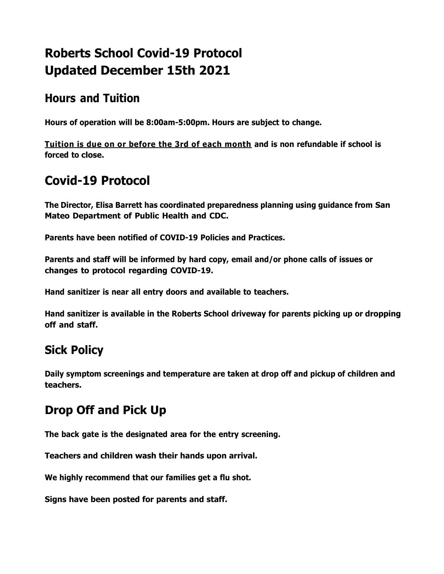# **Roberts School Covid-19 Protocol Updated December 15th 2021**

#### **Hours and Tuition**

**Hours of operation will be 8:00am-5:00pm. Hours are subject to change.**

**Tuition is due on or before the 3rd of each month and is non refundable if school is forced to close.**

## **Covid-19 Protocol**

**The Director, Elisa Barrett has coordinated preparedness planning using guidance from San Mateo Department of Public Health and CDC.**

**Parents have been notified of COVID-19 Policies and Practices.**

**Parents and staff will be informed by hard copy, email and/or phone calls of issues or changes to protocol regarding COVID-19.**

**Hand sanitizer is near all entry doors and available to teachers.**

**Hand sanitizer is available in the Roberts School driveway for parents picking up or dropping off and staff.**

## **Sick Policy**

**Daily symptom screenings and temperature are taken at drop off and pickup of children and teachers.**

## **Drop Off and Pick Up**

**The back gate is the designated area for the entry screening.**

**Teachers and children wash their hands upon arrival.**

**We highly recommend that our families get a flu shot.**

**Signs have been posted for parents and staff.**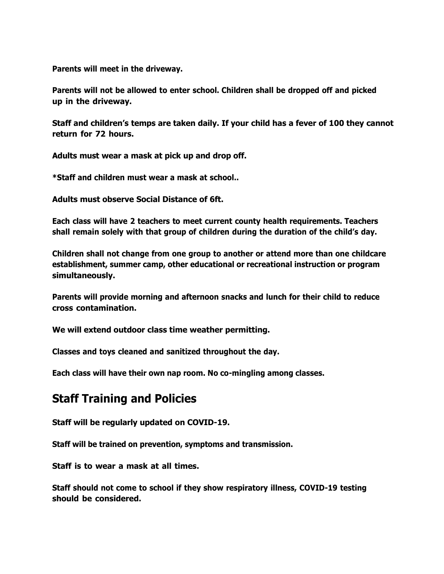**Parents will meet in the driveway.**

**Parents will not be allowed to enter school. Children shall be dropped off and picked up in the driveway.**

**Staff and children's temps are taken daily. If your child has a fever of 100 they cannot return for 72 hours.**

**Adults must wear a mask at pick up and drop off.**

**\*Staff and children must wear a mask at school..**

**Adults must observe Social Distance of 6ft.**

**Each class will have 2 teachers to meet current county health requirements. Teachers shall remain solely with that group of children during the duration of the child's day.**

**Children shall not change from one group to another or attend more than one childcare establishment, summer camp, other educational or recreational instruction or program simultaneously.**

**Parents will provide morning and afternoon snacks and lunch for their child to reduce cross contamination.**

**We will extend outdoor class time weather permitting.**

**Classes and toys cleaned and sanitized throughout the day.**

**Each class will have their own nap room. No co-mingling among classes.**

#### **Staff Training and Policies**

**Staff will be regularly updated on COVID-19.**

**Staff will be trained on prevention, symptoms and transmission.**

**Staff is to wear a mask at all times.**

**Staff should not come to school if they show respiratory illness, COVID-19 testing should be considered.**